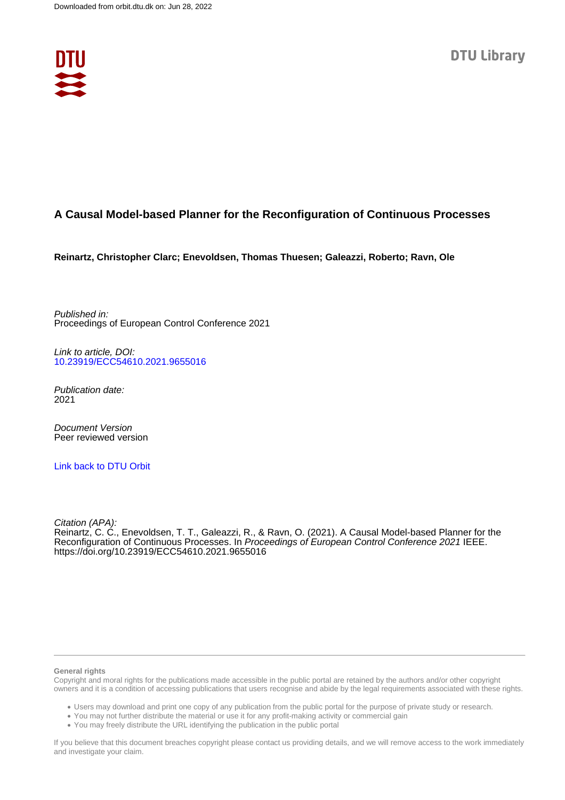

# **A Causal Model-based Planner for the Reconfiguration of Continuous Processes**

**Reinartz, Christopher Clarc; Enevoldsen, Thomas Thuesen; Galeazzi, Roberto; Ravn, Ole**

Published in: Proceedings of European Control Conference 2021

Link to article, DOI: [10.23919/ECC54610.2021.9655016](https://doi.org/10.23919/ECC54610.2021.9655016)

Publication date: 2021

Document Version Peer reviewed version

[Link back to DTU Orbit](https://orbit.dtu.dk/en/publications/93468cd9-7b1e-4e8c-a035-6ab9ed85590f)

Citation (APA): Reinartz, C. C., Enevoldsen, T. T., Galeazzi, R., & Ravn, O. (2021). A Causal Model-based Planner for the Reconfiguration of Continuous Processes. In Proceedings of European Control Conference 2021 IEEE. <https://doi.org/10.23919/ECC54610.2021.9655016>

#### **General rights**

Copyright and moral rights for the publications made accessible in the public portal are retained by the authors and/or other copyright owners and it is a condition of accessing publications that users recognise and abide by the legal requirements associated with these rights.

Users may download and print one copy of any publication from the public portal for the purpose of private study or research.

- You may not further distribute the material or use it for any profit-making activity or commercial gain
- You may freely distribute the URL identifying the publication in the public portal

If you believe that this document breaches copyright please contact us providing details, and we will remove access to the work immediately and investigate your claim.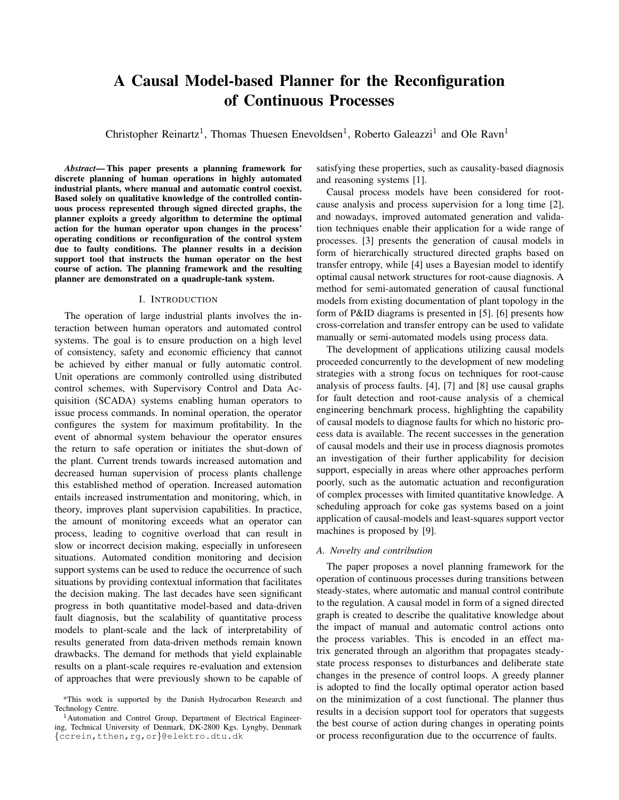# A Causal Model-based Planner for the Reconfiguration of Continuous Processes

Christopher Reinartz<sup>1</sup>, Thomas Thuesen Enevoldsen<sup>1</sup>, Roberto Galeazzi<sup>1</sup> and Ole Ravn<sup>1</sup>

*Abstract*— This paper presents a planning framework for discrete planning of human operations in highly automated industrial plants, where manual and automatic control coexist. Based solely on qualitative knowledge of the controlled continuous process represented through signed directed graphs, the planner exploits a greedy algorithm to determine the optimal action for the human operator upon changes in the process' operating conditions or reconfiguration of the control system due to faulty conditions. The planner results in a decision support tool that instructs the human operator on the best course of action. The planning framework and the resulting planner are demonstrated on a quadruple-tank system.

# I. INTRODUCTION

The operation of large industrial plants involves the interaction between human operators and automated control systems. The goal is to ensure production on a high level of consistency, safety and economic efficiency that cannot be achieved by either manual or fully automatic control. Unit operations are commonly controlled using distributed control schemes, with Supervisory Control and Data Acquisition (SCADA) systems enabling human operators to issue process commands. In nominal operation, the operator configures the system for maximum profitability. In the event of abnormal system behaviour the operator ensures the return to safe operation or initiates the shut-down of the plant. Current trends towards increased automation and decreased human supervision of process plants challenge this established method of operation. Increased automation entails increased instrumentation and monitoring, which, in theory, improves plant supervision capabilities. In practice, the amount of monitoring exceeds what an operator can process, leading to cognitive overload that can result in slow or incorrect decision making, especially in unforeseen situations. Automated condition monitoring and decision support systems can be used to reduce the occurrence of such situations by providing contextual information that facilitates the decision making. The last decades have seen significant progress in both quantitative model-based and data-driven fault diagnosis, but the scalability of quantitative process models to plant-scale and the lack of interpretability of results generated from data-driven methods remain known drawbacks. The demand for methods that yield explainable results on a plant-scale requires re-evaluation and extension of approaches that were previously shown to be capable of satisfying these properties, such as causality-based diagnosis and reasoning systems [1].

Causal process models have been considered for rootcause analysis and process supervision for a long time [2], and nowadays, improved automated generation and validation techniques enable their application for a wide range of processes. [3] presents the generation of causal models in form of hierarchically structured directed graphs based on transfer entropy, while [4] uses a Bayesian model to identify optimal causal network structures for root-cause diagnosis. A method for semi-automated generation of causal functional models from existing documentation of plant topology in the form of P&ID diagrams is presented in [5]. [6] presents how cross-correlation and transfer entropy can be used to validate manually or semi-automated models using process data.

The development of applications utilizing causal models proceeded concurrently to the development of new modeling strategies with a strong focus on techniques for root-cause analysis of process faults. [4], [7] and [8] use causal graphs for fault detection and root-cause analysis of a chemical engineering benchmark process, highlighting the capability of causal models to diagnose faults for which no historic process data is available. The recent successes in the generation of causal models and their use in process diagnosis promotes an investigation of their further applicability for decision support, especially in areas where other approaches perform poorly, such as the automatic actuation and reconfiguration of complex processes with limited quantitative knowledge. A scheduling approach for coke gas systems based on a joint application of causal-models and least-squares support vector machines is proposed by [9].

# *A. Novelty and contribution*

The paper proposes a novel planning framework for the operation of continuous processes during transitions between steady-states, where automatic and manual control contribute to the regulation. A causal model in form of a signed directed graph is created to describe the qualitative knowledge about the impact of manual and automatic control actions onto the process variables. This is encoded in an effect matrix generated through an algorithm that propagates steadystate process responses to disturbances and deliberate state changes in the presence of control loops. A greedy planner is adopted to find the locally optimal operator action based on the minimization of a cost functional. The planner thus results in a decision support tool for operators that suggests the best course of action during changes in operating points or process reconfiguration due to the occurrence of faults.

<sup>\*</sup>This work is supported by the Danish Hydrocarbon Research and Technology Centre.

<sup>&</sup>lt;sup>1</sup>Automation and Control Group, Department of Electrical Engineering, Technical University of Denmark, DK-2800 Kgs. Lyngby, Denmark {ccrein,tthen,rg,or}@elektro.dtu.dk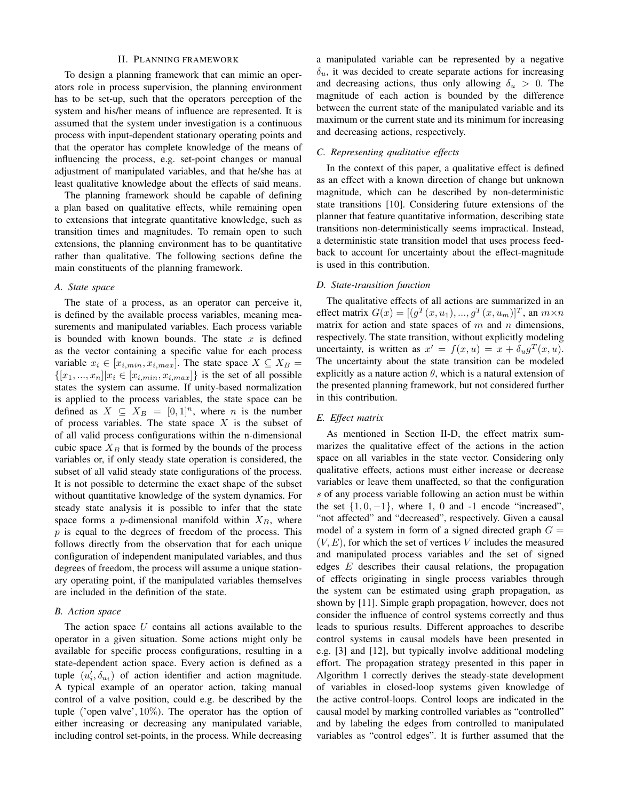#### II. PLANNING FRAMEWORK

To design a planning framework that can mimic an operators role in process supervision, the planning environment has to be set-up, such that the operators perception of the system and his/her means of influence are represented. It is assumed that the system under investigation is a continuous process with input-dependent stationary operating points and that the operator has complete knowledge of the means of influencing the process, e.g. set-point changes or manual adjustment of manipulated variables, and that he/she has at least qualitative knowledge about the effects of said means.

The planning framework should be capable of defining a plan based on qualitative effects, while remaining open to extensions that integrate quantitative knowledge, such as transition times and magnitudes. To remain open to such extensions, the planning environment has to be quantitative rather than qualitative. The following sections define the main constituents of the planning framework.

#### *A. State space*

The state of a process, as an operator can perceive it, is defined by the available process variables, meaning measurements and manipulated variables. Each process variable is bounded with known bounds. The state  $x$  is defined as the vector containing a specific value for each process variable  $x_i \in [x_{i,min}, x_{i,max}]$ . The state space  $X \subseteq X_B =$  $\{[x_1, ..., x_n]|x_i \in [x_{i,min}, x_{i,max}]\}$  is the set of all possible states the system can assume. If unity-based normalization is applied to the process variables, the state space can be defined as  $X \subseteq X_B = [0,1]^n$ , where *n* is the number of process variables. The state space  $X$  is the subset of of all valid process configurations within the n-dimensional cubic space  $X_B$  that is formed by the bounds of the process variables or, if only steady state operation is considered, the subset of all valid steady state configurations of the process. It is not possible to determine the exact shape of the subset without quantitative knowledge of the system dynamics. For steady state analysis it is possible to infer that the state space forms a *p*-dimensional manifold within  $X_B$ , where  $p$  is equal to the degrees of freedom of the process. This follows directly from the observation that for each unique configuration of independent manipulated variables, and thus degrees of freedom, the process will assume a unique stationary operating point, if the manipulated variables themselves are included in the definition of the state.

#### *B. Action space*

The action space  $U$  contains all actions available to the operator in a given situation. Some actions might only be available for specific process configurations, resulting in a state-dependent action space. Every action is defined as a tuple  $(u'_i, \delta_{u_i})$  of action identifier and action magnitude. A typical example of an operator action, taking manual control of a valve position, could e.g. be described by the tuple ('open valve', 10%). The operator has the option of either increasing or decreasing any manipulated variable, including control set-points, in the process. While decreasing a manipulated variable can be represented by a negative  $\delta_u$ , it was decided to create separate actions for increasing and decreasing actions, thus only allowing  $\delta_u > 0$ . The magnitude of each action is bounded by the difference between the current state of the manipulated variable and its maximum or the current state and its minimum for increasing and decreasing actions, respectively.

#### *C. Representing qualitative effects*

In the context of this paper, a qualitative effect is defined as an effect with a known direction of change but unknown magnitude, which can be described by non-deterministic state transitions [10]. Considering future extensions of the planner that feature quantitative information, describing state transitions non-deterministically seems impractical. Instead, a deterministic state transition model that uses process feedback to account for uncertainty about the effect-magnitude is used in this contribution.

# *D. State-transition function*

The qualitative effects of all actions are summarized in an effect matrix  $G(x) = [(g^T(x, u_1), ..., g^T(x, u_m)]^T$ , an  $m \times n$ matrix for action and state spaces of  $m$  and  $n$  dimensions, respectively. The state transition, without explicitly modeling uncertainty, is written as  $x' = f(x, u) = x + \delta_u g^T(x, u)$ . The uncertainty about the state transition can be modeled explicitly as a nature action  $\theta$ , which is a natural extension of the presented planning framework, but not considered further in this contribution.

#### *E. Effect matrix*

As mentioned in Section II-D, the effect matrix summarizes the qualitative effect of the actions in the action space on all variables in the state vector. Considering only qualitative effects, actions must either increase or decrease variables or leave them unaffected, so that the configuration s of any process variable following an action must be within the set  $\{1, 0, -1\}$ , where 1, 0 and -1 encode "increased", "not affected" and "decreased", respectively. Given a causal model of a system in form of a signed directed graph  $G =$  $(V, E)$ , for which the set of vertices V includes the measured and manipulated process variables and the set of signed edges E describes their causal relations, the propagation of effects originating in single process variables through the system can be estimated using graph propagation, as shown by [11]. Simple graph propagation, however, does not consider the influence of control systems correctly and thus leads to spurious results. Different approaches to describe control systems in causal models have been presented in e.g. [3] and [12], but typically involve additional modeling effort. The propagation strategy presented in this paper in Algorithm 1 correctly derives the steady-state development of variables in closed-loop systems given knowledge of the active control-loops. Control loops are indicated in the causal model by marking controlled variables as "controlled" and by labeling the edges from controlled to manipulated variables as "control edges". It is further assumed that the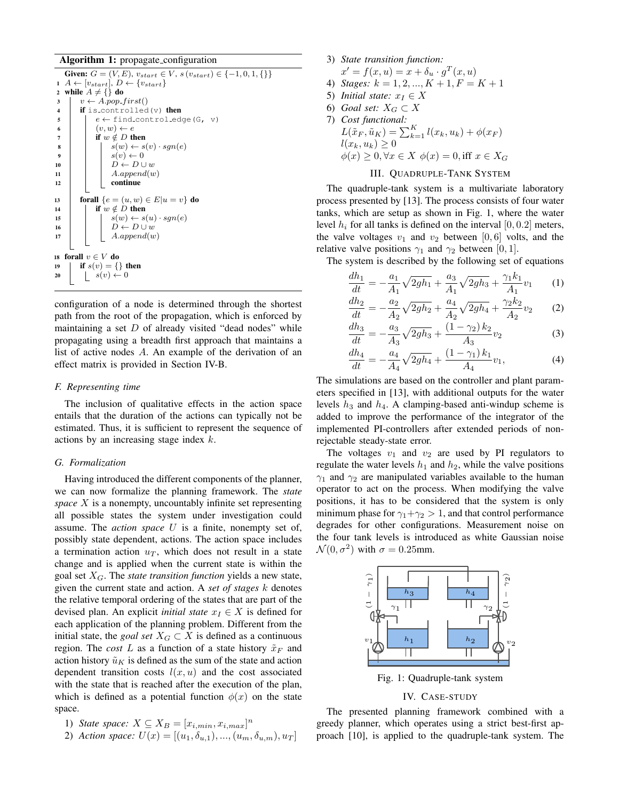Algorithm 1: propagate\_configuration

Given:  $G = (V, E), v_{start} \in V, s(v_{start}) \in \{-1, 0, 1, \{\}\}\$ 1  $A \leftarrow [v_{start}], D \leftarrow \{v_{start}\}$ 2 while  $A \neq \{\}$  do  $\vert v \leftarrow A.pop\_first()$ 4 | if is\_controlled(v) then  $\begin{array}{c|c} \text{5} & | & e \leftarrow \text{find\_control\_edge(G, v)} \end{array}$ 6  $(v, w) \leftarrow e$ 7 | if  $w \notin D$  then  $s \mid \cdot \cdot \cdot s(w) \leftarrow s(v) \cdot sgn(e)$ 9  $\vert \vert$   $s(v) \leftarrow 0$ 10  $D \leftarrow D \cup w$ 11 |  $A.append(w)$ <sup>12</sup> continue 13 **forall**  $\{e = (u, w) \in E | u = v\}$  do 14 **if**  $w \notin D$  then 15  $\vert$   $s(w) \leftarrow s(u) \cdot sgn(e)$ 16  $\vert \vert \vert \vert \dot{D} \leftarrow D \cup w$  $17$  A.append(w) 18 forall  $v \in V$  do 19 | if  $s(v) = \{\}$  then 20  $s(v) \leftarrow 0$ 

configuration of a node is determined through the shortest path from the root of the propagation, which is enforced by maintaining a set  $D$  of already visited "dead nodes" while propagating using a breadth first approach that maintains a list of active nodes A. An example of the derivation of an effect matrix is provided in Section IV-B.

# *F. Representing time*

The inclusion of qualitative effects in the action space entails that the duration of the actions can typically not be estimated. Thus, it is sufficient to represent the sequence of actions by an increasing stage index k.

#### *G. Formalization*

Having introduced the different components of the planner, we can now formalize the planning framework. The *state space* X is a nonempty, uncountably infinite set representing all possible states the system under investigation could assume. The *action space* U is a finite, nonempty set of, possibly state dependent, actions. The action space includes a termination action  $u_T$ , which does not result in a state change and is applied when the current state is within the goal set  $X_G$ . The *state transition function* yields a new state, given the current state and action. A *set of stages* k denotes the relative temporal ordering of the states that are part of the devised plan. An explicit *initial state*  $x_I \in X$  is defined for each application of the planning problem. Different from the initial state, the *goal set*  $X_G \subset X$  is defined as a continuous region. The *cost* L as a function of a state history  $\tilde{x}_F$  and action history  $\tilde{u}_K$  is defined as the sum of the state and action dependent transition costs  $l(x, u)$  and the cost associated with the state that is reached after the execution of the plan, which is defined as a potential function  $\phi(x)$  on the state space.

```
1) State space: X \subseteq X_B = [x_{i,min}, x_{i,max}]^n
```
2) Action space: 
$$
U(x) = [(u_1, \delta_{u,1}), ..., (u_m, \delta_{u,m}), u_T]
$$

3) *State transition function:*  $x' = f(x, u) = x + \delta_u \cdot g^T(x, u)$ 4) *Stages:*  $k = 1, 2, ..., K + 1, F = K + 1$ 5) *Initial state:*  $x_I \in X$ 6) *Goal set:*  $X_G \subset X$ 7) *Cost functional:*  $L(\tilde{x}_F, \tilde{u}_K) = \sum_{k=1}^K l(x_k, u_k) + \phi(x_F)$  $l(x_k, u_k) \geq 0$  $\phi(x) \geq 0, \forall x \in X$   $\phi(x) = 0$ , iff  $x \in X_G$ III. QUADRUPLE-TANK SYSTEM

The quadruple-tank system is a multivariate laboratory process presented by [13]. The process consists of four water tanks, which are setup as shown in Fig. 1, where the water level  $h_i$  for all tanks is defined on the interval [0, 0.2] meters, the valve voltages  $v_1$  and  $v_2$  between [0, 6] volts, and the relative valve positions  $\gamma_1$  and  $\gamma_2$  between [0, 1].

The system is described by the following set of equations

$$
\frac{dh_1}{dt} = -\frac{a_1}{A_1}\sqrt{2gh_1} + \frac{a_3}{A_1}\sqrt{2gh_3} + \frac{\gamma_1k_1}{A_1}v_1 \qquad (1)
$$

$$
\frac{dh_2}{dt} = -\frac{a_2}{A_2}\sqrt{2gh_2} + \frac{a_4}{A_2}\sqrt{2gh_4} + \frac{\gamma_2 k_2}{A_2}v_2
$$
 (2)

$$
\frac{dh_3}{dt} = -\frac{a_3}{A_3}\sqrt{2gh_3} + \frac{(1-\gamma_2)k_2}{A_3}v_2\tag{3}
$$

$$
\frac{dh_4}{dt} = -\frac{a_4}{A_4}\sqrt{2gh_4} + \frac{(1-\gamma_1)k_1}{A_4}v_1,\tag{4}
$$

The simulations are based on the controller and plant parameters specified in [13], with additional outputs for the water levels  $h_3$  and  $h_4$ . A clamping-based anti-windup scheme is added to improve the performance of the integrator of the implemented PI-controllers after extended periods of nonrejectable steady-state error.

The voltages  $v_1$  and  $v_2$  are used by PI regulators to regulate the water levels  $h_1$  and  $h_2$ , while the valve positions  $\gamma_1$  and  $\gamma_2$  are manipulated variables available to the human operator to act on the process. When modifying the valve positions, it has to be considered that the system is only minimum phase for  $\gamma_1 + \gamma_2 > 1$ , and that control performance degrades for other configurations. Measurement noise on the four tank levels is introduced as white Gaussian noise  $\mathcal{N}(0, \sigma^2)$  with  $\sigma = 0.25$ mm.



Fig. 1: Quadruple-tank system

# IV. CASE-STUDY

The presented planning framework combined with a greedy planner, which operates using a strict best-first approach [10], is applied to the quadruple-tank system. The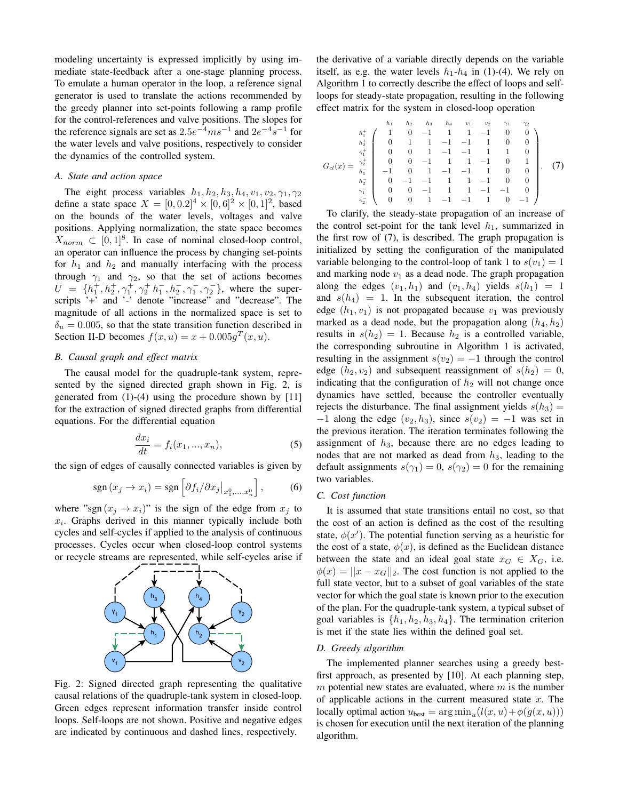modeling uncertainty is expressed implicitly by using immediate state-feedback after a one-stage planning process. To emulate a human operator in the loop, a reference signal generator is used to translate the actions recommended by the greedy planner into set-points following a ramp profile for the control-references and valve positions. The slopes for the reference signals are set as  $2.5e^{-4}ms^{-1}$  and  $2e^{-4}s^{-1}$  for the water levels and valve positions, respectively to consider the dynamics of the controlled system.

# *A. State and action space*

The eight process variables  $h_1$ ,  $h_2$ ,  $h_3$ ,  $h_4$ ,  $v_1$ ,  $v_2$ ,  $\gamma_1$ ,  $\gamma_2$ define a state space  $X = [0, 0.2]^4 \times [0, 6]^2 \times [0, 1]^2$ , based on the bounds of the water levels, voltages and valve positions. Applying normalization, the state space becomes  $X_{norm} \subset [0,1]^8$ . In case of nominal closed-loop control, an operator can influence the process by changing set-points for  $h_1$  and  $h_2$  and manually interfacing with the process through  $\gamma_1$  and  $\gamma_2$ , so that the set of actions becomes  $U = \{h_1^+, h_2^+, \gamma_1^+, \gamma_2^+ h_1^-, h_2^-, \gamma_1^-, \gamma_2^-\}$ , where the superscripts '+' and '-' denote "increase" and "decrease". The magnitude of all actions in the normalized space is set to  $\delta_u = 0.005$ , so that the state transition function described in Section II-D becomes  $f(x, u) = x + 0.005g^{T}(x, u)$ .

# *B. Causal graph and effect matrix*

The causal model for the quadruple-tank system, represented by the signed directed graph shown in Fig. 2, is generated from (1)-(4) using the procedure shown by [11] for the extraction of signed directed graphs from differential equations. For the differential equation

$$
\frac{dx_i}{dt} = f_i(x_1, ..., x_n),
$$
\n(5)

the sign of edges of causally connected variables is given by

$$
sgn(x_j \to x_i) = sgn\left[\partial f_i / \partial x_j\big|_{x_1^0, \dots, x_n^0}\right],\tag{6}
$$

where "sgn  $(x_j \rightarrow x_i)$ " is the sign of the edge from  $x_j$  to  $x_i$ . Graphs derived in this manner typically include both cycles and self-cycles if applied to the analysis of continuous processes. Cycles occur when closed-loop control systems or recycle streams are represented, while self-cycles arise if



Fig. 2: Signed directed graph representing the qualitative causal relations of the quadruple-tank system in closed-loop. Green edges represent information transfer inside control loops. Self-loops are not shown. Positive and negative edges are indicated by continuous and dashed lines, respectively.

the derivative of a variable directly depends on the variable itself, as e.g. the water levels  $h_1-h_4$  in (1)-(4). We rely on Algorithm 1 to correctly describe the effect of loops and selfloops for steady-state propagation, resulting in the following effect matrix for the system in closed-loop operation

Gcl(x) = h<sup>1</sup> h<sup>2</sup> h<sup>3</sup> h<sup>4</sup> v<sup>1</sup> v<sup>2</sup> γ<sup>1</sup> γ<sup>2</sup> h<sup>+</sup> <sup>1</sup> 1 0 <sup>−</sup>1 1 1 <sup>−</sup>1 0 0 h<sup>+</sup> <sup>2</sup> 0 1 1 <sup>−</sup><sup>1</sup> <sup>−</sup>1 1 0 0 γ<sup>+</sup> <sup>1</sup> 0 0 1 <sup>−</sup><sup>1</sup> <sup>−</sup>1 1 1 0 γ<sup>+</sup> <sup>2</sup> 0 0 <sup>−</sup>1 1 1 <sup>−</sup>1 0 1 h<sup>−</sup> <sup>1</sup> <sup>−</sup>1 0 1 <sup>−</sup><sup>1</sup> <sup>−</sup>1 1 0 0 h<sup>−</sup> <sup>2</sup> <sup>0</sup> <sup>−</sup><sup>1</sup> <sup>−</sup>1 1 1 <sup>−</sup>1 0 0 γ<sup>−</sup> <sup>1</sup> 0 0 <sup>−</sup>1 1 1 <sup>−</sup><sup>1</sup> <sup>−</sup>1 0 γ<sup>−</sup> <sup>2</sup> 0 0 1 <sup>−</sup><sup>1</sup> <sup>−</sup>1 1 0 <sup>−</sup><sup>1</sup> . (7)

To clarify, the steady-state propagation of an increase of the control set-point for the tank level  $h_1$ , summarized in the first row of (7), is described. The graph propagation is initialized by setting the configuration of the manipulated variable belonging to the control-loop of tank 1 to  $s(v_1) = 1$ and marking node  $v_1$  as a dead node. The graph propagation along the edges  $(v_1, h_1)$  and  $(v_1, h_4)$  yields  $s(h_1) = 1$ and  $s(h_4) = 1$ . In the subsequent iteration, the control edge  $(h_1, v_1)$  is not propagated because  $v_1$  was previously marked as a dead node, but the propagation along  $(h_4, h_2)$ results in  $s(h_2) = 1$ . Because  $h_2$  is a controlled variable, the corresponding subroutine in Algorithm 1 is activated, resulting in the assignment  $s(v_2) = -1$  through the control edge  $(h_2, v_2)$  and subsequent reassignment of  $s(h_2) = 0$ , indicating that the configuration of  $h_2$  will not change once dynamics have settled, because the controller eventually rejects the disturbance. The final assignment yields  $s(h_3)$  =  $-1$  along the edge  $(v_2, h_3)$ , since  $s(v_2) = -1$  was set in the previous iteration. The iteration terminates following the assignment of  $h_3$ , because there are no edges leading to nodes that are not marked as dead from  $h_3$ , leading to the default assignments  $s(\gamma_1) = 0$ ,  $s(\gamma_2) = 0$  for the remaining two variables.

#### *C. Cost function*

It is assumed that state transitions entail no cost, so that the cost of an action is defined as the cost of the resulting state,  $\phi(x')$ . The potential function serving as a heuristic for the cost of a state,  $\phi(x)$ , is defined as the Euclidean distance between the state and an ideal goal state  $x_G \in X_G$ , i.e.  $\phi(x) = ||x - x_G||_2$ . The cost function is not applied to the full state vector, but to a subset of goal variables of the state vector for which the goal state is known prior to the execution of the plan. For the quadruple-tank system, a typical subset of goal variables is  $\{h_1, h_2, h_3, h_4\}$ . The termination criterion is met if the state lies within the defined goal set.

# *D. Greedy algorithm*

The implemented planner searches using a greedy bestfirst approach, as presented by [10]. At each planning step,  $m$  potential new states are evaluated, where  $m$  is the number of applicable actions in the current measured state  $x$ . The locally optimal action  $u_{best} = \arg \min_u (l(x, u) + \phi(g(x, u)))$ is chosen for execution until the next iteration of the planning algorithm.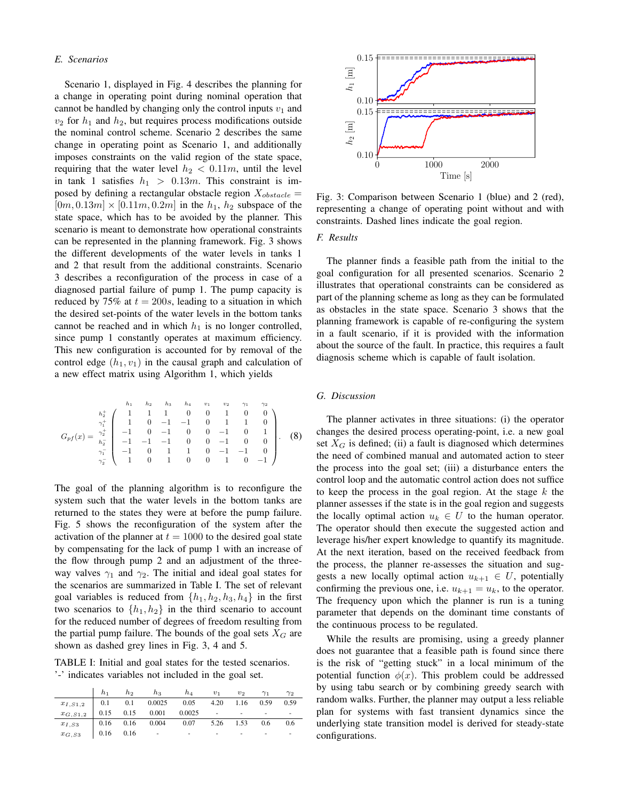# *E. Scenarios*

Scenario 1, displayed in Fig. 4 describes the planning for a change in operating point during nominal operation that cannot be handled by changing only the control inputs  $v_1$  and  $v_2$  for  $h_1$  and  $h_2$ , but requires process modifications outside the nominal control scheme. Scenario 2 describes the same change in operating point as Scenario 1, and additionally imposes constraints on the valid region of the state space, requiring that the water level  $h_2 < 0.11m$ , until the level in tank 1 satisfies  $h_1 > 0.13m$ . This constraint is imposed by defining a rectangular obstacle region  $X_{obstack} =$  $[0m, 0.13m] \times [0.11m, 0.2m]$  in the  $h_1, h_2$  subspace of the state space, which has to be avoided by the planner. This scenario is meant to demonstrate how operational constraints can be represented in the planning framework. Fig. 3 shows the different developments of the water levels in tanks 1 and 2 that result from the additional constraints. Scenario 3 describes a reconfiguration of the process in case of a diagnosed partial failure of pump 1. The pump capacity is reduced by 75% at  $t = 200s$ , leading to a situation in which the desired set-points of the water levels in the bottom tanks cannot be reached and in which  $h_1$  is no longer controlled, since pump 1 constantly operates at maximum efficiency. This new configuration is accounted for by removal of the control edge  $(h_1, v_1)$  in the causal graph and calculation of a new effect matrix using Algorithm 1, which yields

$$
G_{pf}(x) = \begin{pmatrix} h_1 & h_2 & h_3 & h_4 & v_1 & v_2 & \gamma_1 & \gamma_2 \\ h_2^+ & 1 & 1 & 1 & 0 & 0 & 1 & 0 & 0 \\ \gamma_1^+ & 1 & 0 & -1 & -1 & 0 & 1 & 1 & 0 \\ 1 & 0 & -1 & 0 & 0 & -1 & 0 & 1 \\ -1 & 0 & -1 & 0 & 0 & -1 & 0 & 0 \\ \gamma_1^- & -1 & -1 & -1 & 0 & 0 & -1 & 0 & 0 \\ \gamma_2^- & 1 & 0 & 1 & 1 & 0 & -1 & -1 & 0 \\ 1 & 0 & 1 & 0 & 0 & 1 & 0 & -1 \end{pmatrix}.
$$
 (8)

The goal of the planning algorithm is to reconfigure the system such that the water levels in the bottom tanks are returned to the states they were at before the pump failure. Fig. 5 shows the reconfiguration of the system after the activation of the planner at  $t = 1000$  to the desired goal state by compensating for the lack of pump 1 with an increase of the flow through pump 2 and an adjustment of the threeway valves  $\gamma_1$  and  $\gamma_2$ . The initial and ideal goal states for the scenarios are summarized in Table I. The set of relevant goal variables is reduced from  $\{h_1, h_2, h_3, h_4\}$  in the first two scenarios to  $\{h_1, h_2\}$  in the third scenario to account for the reduced number of degrees of freedom resulting from the partial pump failure. The bounds of the goal sets  $X_G$  are shown as dashed grey lines in Fig. 3, 4 and 5.

TABLE I: Initial and goal states for the tested scenarios. '-' indicates variables not included in the goal set.

|                                                   |      |             | $h_1$ $h_2$ $h_3$ $h_4$ $v_1$ $v_2$                                                  |   |   | $\gamma_1$ | $\gamma_2$ |
|---------------------------------------------------|------|-------------|--------------------------------------------------------------------------------------|---|---|------------|------------|
| $x_{I,S1,2}$   0.1 0.1 0.0025 0.05 4.20 1.16 0.59 |      |             |                                                                                      |   |   |            | 0.59       |
| $x_{G, S1, 2}$                                    |      |             | $\begin{array}{cccccccc} \n0.15 & 0.15 & 0.001 & 0.0025 & - & - & - \n\end{array}$   |   |   |            |            |
| $x_{I,S3}$                                        |      |             | $\begin{array}{cccc} \n\vert 0.16 & 0.16 & 0.004 & 0.07 & 5.26 & 1.53 \n\end{array}$ |   |   | 0.6        | 0.6        |
| $x_{G, S3}$                                       | 0.16 | $\sim 0.16$ | $\sim 100$ km s $^{-1}$                                                              | ٠ | ٠ | ۰          |            |



Fig. 3: Comparison between Scenario 1 (blue) and 2 (red), representing a change of operating point without and with constraints. Dashed lines indicate the goal region.

# *F. Results*

The planner finds a feasible path from the initial to the goal configuration for all presented scenarios. Scenario 2 illustrates that operational constraints can be considered as part of the planning scheme as long as they can be formulated as obstacles in the state space. Scenario 3 shows that the planning framework is capable of re-configuring the system in a fault scenario, if it is provided with the information about the source of the fault. In practice, this requires a fault diagnosis scheme which is capable of fault isolation.

### *G. Discussion*

The planner activates in three situations: (i) the operator changes the desired process operating-point, i.e. a new goal set  $X_G$  is defined; (ii) a fault is diagnosed which determines the need of combined manual and automated action to steer the process into the goal set; (iii) a disturbance enters the control loop and the automatic control action does not suffice to keep the process in the goal region. At the stage  $k$  the planner assesses if the state is in the goal region and suggests the locally optimal action  $u_k \in U$  to the human operator. The operator should then execute the suggested action and leverage his/her expert knowledge to quantify its magnitude. At the next iteration, based on the received feedback from the process, the planner re-assesses the situation and suggests a new locally optimal action  $u_{k+1} \in U$ , potentially confirming the previous one, i.e.  $u_{k+1} = u_k$ , to the operator. The frequency upon which the planner is run is a tuning parameter that depends on the dominant time constants of the continuous process to be regulated.

While the results are promising, using a greedy planner does not guarantee that a feasible path is found since there is the risk of "getting stuck" in a local minimum of the potential function  $\phi(x)$ . This problem could be addressed by using tabu search or by combining greedy search with random walks. Further, the planner may output a less reliable plan for systems with fast transient dynamics since the underlying state transition model is derived for steady-state configurations.